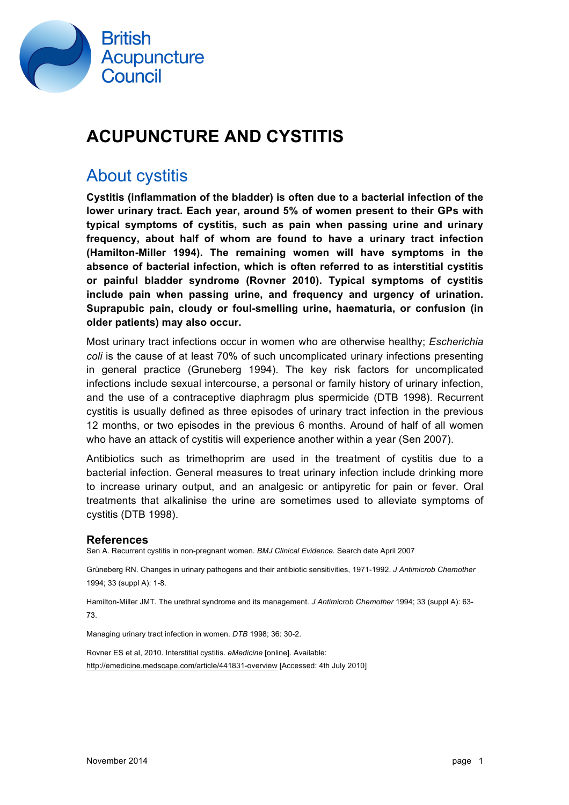

## **ACUPUNCTURE AND CYSTITIS**

#### About cystitis

**Cystitis (inflammation of the bladder) is often due to a bacterial infection of the lower urinary tract. Each year, around 5% of women present to their GPs with typical symptoms of cystitis, such as pain when passing urine and urinary frequency, about half of whom are found to have a urinary tract infection (Hamilton-Miller 1994). The remaining women will have symptoms in the absence of bacterial infection, which is often referred to as interstitial cystitis or painful bladder syndrome (Rovner 2010). Typical symptoms of cystitis include pain when passing urine, and frequency and urgency of urination. Suprapubic pain, cloudy or foul-smelling urine, haematuria, or confusion (in older patients) may also occur.** 

Most urinary tract infections occur in women who are otherwise healthy; *Escherichia coli* is the cause of at least 70% of such uncomplicated urinary infections presenting in general practice (Gruneberg 1994). The key risk factors for uncomplicated infections include sexual intercourse, a personal or family history of urinary infection, and the use of a contraceptive diaphragm plus spermicide (DTB 1998). Recurrent cystitis is usually defined as three episodes of urinary tract infection in the previous 12 months, or two episodes in the previous 6 months. Around of half of all women who have an attack of cystitis will experience another within a year (Sen 2007).

Antibiotics such as trimethoprim are used in the treatment of cystitis due to a bacterial infection. General measures to treat urinary infection include drinking more to increase urinary output, and an analgesic or antipyretic for pain or fever. Oral treatments that alkalinise the urine are sometimes used to alleviate symptoms of cystitis (DTB 1998).

#### **References**

Sen A. Recurrent cystitis in non-pregnant women. *BMJ Clinical Evidence.* Search date April 2007

Grüneberg RN. Changes in urinary pathogens and their antibiotic sensitivities, 1971-1992. *J Antimicrob Chemother*  1994; 33 (suppl A): 1-8.

Hamilton-Miller JMT. The urethral syndrome and its management. *J Antimicrob Chemother* 1994; 33 (suppl A): 63- 73.

Managing urinary tract infection in women. *DTB* 1998; 36: 30-2.

Rovner ES et al, 2010. Interstitial cystitis. *eMedicine* [online]. Available: http://emedicine.medscape.com/article/441831-overview [Accessed: 4th July 2010]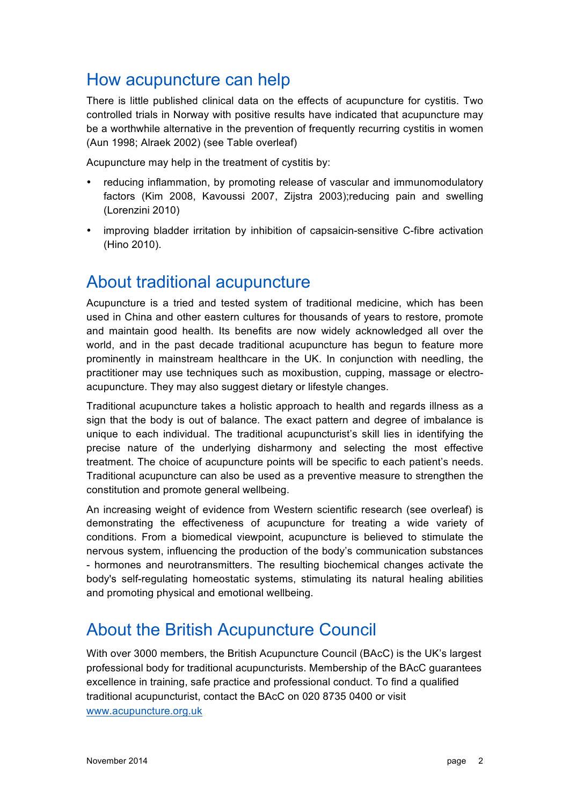### How acupuncture can help

There is little published clinical data on the effects of acupuncture for cystitis. Two controlled trials in Norway with positive results have indicated that acupuncture may be a worthwhile alternative in the prevention of frequently recurring cystitis in women (Aun 1998; Alraek 2002) (see Table overleaf)

Acupuncture may help in the treatment of cystitis by:

- reducing inflammation, by promoting release of vascular and immunomodulatory factors (Kim 2008, Kavoussi 2007, Zijstra 2003);reducing pain and swelling (Lorenzini 2010)
- improving bladder irritation by inhibition of capsaicin-sensitive C-fibre activation (Hino 2010).

#### About traditional acupuncture

Acupuncture is a tried and tested system of traditional medicine, which has been used in China and other eastern cultures for thousands of years to restore, promote and maintain good health. Its benefits are now widely acknowledged all over the world, and in the past decade traditional acupuncture has begun to feature more prominently in mainstream healthcare in the UK. In conjunction with needling, the practitioner may use techniques such as moxibustion, cupping, massage or electroacupuncture. They may also suggest dietary or lifestyle changes.

Traditional acupuncture takes a holistic approach to health and regards illness as a sign that the body is out of balance. The exact pattern and degree of imbalance is unique to each individual. The traditional acupuncturist's skill lies in identifying the precise nature of the underlying disharmony and selecting the most effective treatment. The choice of acupuncture points will be specific to each patient's needs. Traditional acupuncture can also be used as a preventive measure to strengthen the constitution and promote general wellbeing.

An increasing weight of evidence from Western scientific research (see overleaf) is demonstrating the effectiveness of acupuncture for treating a wide variety of conditions. From a biomedical viewpoint, acupuncture is believed to stimulate the nervous system, influencing the production of the body's communication substances - hormones and neurotransmitters. The resulting biochemical changes activate the body's self-regulating homeostatic systems, stimulating its natural healing abilities and promoting physical and emotional wellbeing.

### About the British Acupuncture Council

With over 3000 members, the British Acupuncture Council (BAcC) is the UK's largest professional body for traditional acupuncturists. Membership of the BAcC guarantees excellence in training, safe practice and professional conduct. To find a qualified traditional acupuncturist, contact the BAcC on 020 8735 0400 or visit www.acupuncture.org.uk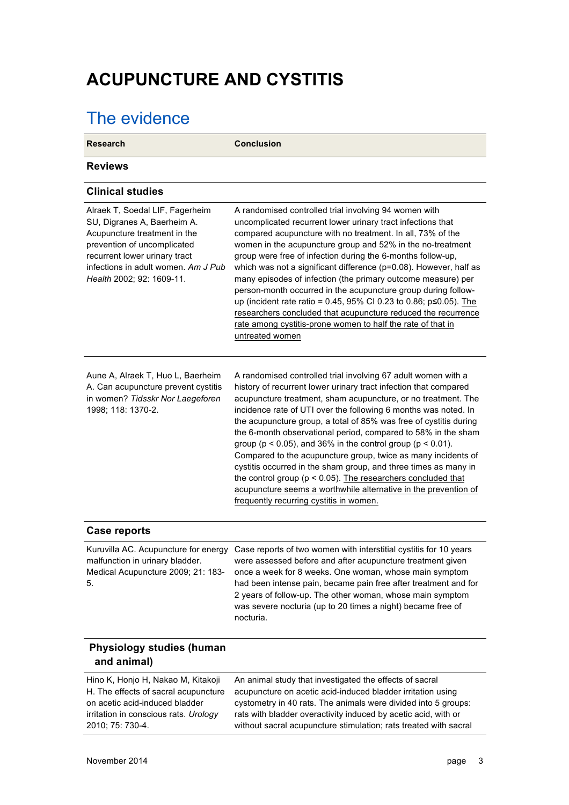# **ACUPUNCTURE AND CYSTITIS**

## The evidence

| <b>Research</b>                                                                                                                                                                                                                    | <b>Conclusion</b>                                                                                                                                                                                                                                                                                                                                                                                                                                                                                                                                                                                                                                                                                                                                                                                       |
|------------------------------------------------------------------------------------------------------------------------------------------------------------------------------------------------------------------------------------|---------------------------------------------------------------------------------------------------------------------------------------------------------------------------------------------------------------------------------------------------------------------------------------------------------------------------------------------------------------------------------------------------------------------------------------------------------------------------------------------------------------------------------------------------------------------------------------------------------------------------------------------------------------------------------------------------------------------------------------------------------------------------------------------------------|
| <b>Reviews</b>                                                                                                                                                                                                                     |                                                                                                                                                                                                                                                                                                                                                                                                                                                                                                                                                                                                                                                                                                                                                                                                         |
| <b>Clinical studies</b>                                                                                                                                                                                                            |                                                                                                                                                                                                                                                                                                                                                                                                                                                                                                                                                                                                                                                                                                                                                                                                         |
| Alraek T, Soedal LIF, Fagerheim<br>SU, Digranes A, Baerheim A.<br>Acupuncture treatment in the<br>prevention of uncomplicated<br>recurrent lower urinary tract<br>infections in adult women. Am J Pub<br>Health 2002; 92: 1609-11. | A randomised controlled trial involving 94 women with<br>uncomplicated recurrent lower urinary tract infections that<br>compared acupuncture with no treatment. In all, 73% of the<br>women in the acupuncture group and 52% in the no-treatment<br>group were free of infection during the 6-months follow-up,<br>which was not a significant difference (p=0.08). However, half as<br>many episodes of infection (the primary outcome measure) per<br>person-month occurred in the acupuncture group during follow-<br>up (incident rate ratio = 0.45, 95% CI 0.23 to 0.86; p≤0.05). The<br>researchers concluded that acupuncture reduced the recurrence<br>rate among cystitis-prone women to half the rate of that in<br>untreated women                                                           |
| Aune A, Alraek T, Huo L, Baerheim<br>A. Can acupuncture prevent cystitis<br>in women? Tidsskr Nor Laegeforen<br>1998; 118: 1370-2.                                                                                                 | A randomised controlled trial involving 67 adult women with a<br>history of recurrent lower urinary tract infection that compared<br>acupuncture treatment, sham acupuncture, or no treatment. The<br>incidence rate of UTI over the following 6 months was noted. In<br>the acupuncture group, a total of 85% was free of cystitis during<br>the 6-month observational period, compared to 58% in the sham<br>group ( $p < 0.05$ ), and 36% in the control group ( $p < 0.01$ ).<br>Compared to the acupuncture group, twice as many incidents of<br>cystitis occurred in the sham group, and three times as many in<br>the control group ( $p < 0.05$ ). The researchers concluded that<br>acupuncture seems a worthwhile alternative in the prevention of<br>frequently recurring cystitis in women. |
| <b>Case reports</b>                                                                                                                                                                                                                |                                                                                                                                                                                                                                                                                                                                                                                                                                                                                                                                                                                                                                                                                                                                                                                                         |
| malfunction in urinary bladder.<br>Medical Acupuncture 2009; 21: 183-<br>5.                                                                                                                                                        | Kuruvilla AC. Acupuncture for energy Case reports of two women with interstitial cystitis for 10 years<br>were assessed before and after acupuncture treatment given<br>once a week for 8 weeks. One woman, whose main symptom<br>had been intense pain, became pain free after treatment and for<br>2 years of follow-up. The other woman, whose main symptom<br>was severe nocturia (up to 20 times a night) became free of<br>nocturia.                                                                                                                                                                                                                                                                                                                                                              |

#### **Physiology studies (human and animal)**

| Hino K, Honjo H, Nakao M, Kitakoji    | An animal study that investigated the effects of sacral          |
|---------------------------------------|------------------------------------------------------------------|
| H. The effects of sacral acupuncture  | acupuncture on acetic acid-induced bladder irritation using      |
| on acetic acid-induced bladder        | cystometry in 40 rats. The animals were divided into 5 groups:   |
| irritation in conscious rats. Urology | rats with bladder overactivity induced by acetic acid, with or   |
| 2010: 75: 730-4.                      | without sacral acupuncture stimulation; rats treated with sacral |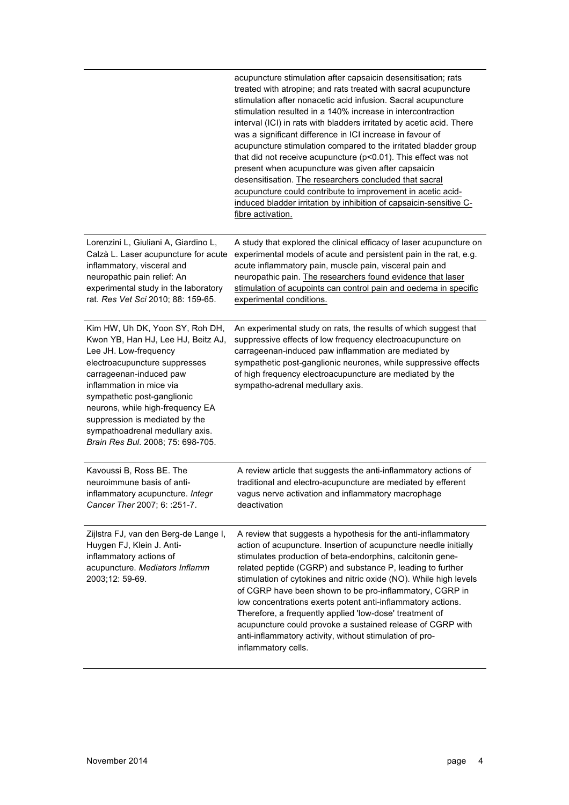|                                                                                                                                                                                                                                                                                                                                                                     | acupuncture stimulation after capsaicin desensitisation; rats<br>treated with atropine; and rats treated with sacral acupuncture<br>stimulation after nonacetic acid infusion. Sacral acupuncture<br>stimulation resulted in a 140% increase in intercontraction<br>interval (ICI) in rats with bladders irritated by acetic acid. There<br>was a significant difference in ICI increase in favour of<br>acupuncture stimulation compared to the irritated bladder group<br>that did not receive acupuncture ( $p<0.01$ ). This effect was not<br>present when acupuncture was given after capsaicin<br>desensitisation. The researchers concluded that sacral<br>acupuncture could contribute to improvement in acetic acid-<br>induced bladder irritation by inhibition of capsaicin-sensitive C-<br>fibre activation. |
|---------------------------------------------------------------------------------------------------------------------------------------------------------------------------------------------------------------------------------------------------------------------------------------------------------------------------------------------------------------------|--------------------------------------------------------------------------------------------------------------------------------------------------------------------------------------------------------------------------------------------------------------------------------------------------------------------------------------------------------------------------------------------------------------------------------------------------------------------------------------------------------------------------------------------------------------------------------------------------------------------------------------------------------------------------------------------------------------------------------------------------------------------------------------------------------------------------|
| Lorenzini L, Giuliani A, Giardino L,<br>Calzà L. Laser acupuncture for acute<br>inflammatory, visceral and<br>neuropathic pain relief: An<br>experimental study in the laboratory<br>rat. Res Vet Sci 2010; 88: 159-65.                                                                                                                                             | A study that explored the clinical efficacy of laser acupuncture on<br>experimental models of acute and persistent pain in the rat, e.g.<br>acute inflammatory pain, muscle pain, visceral pain and<br>neuropathic pain. The researchers found evidence that laser<br>stimulation of acupoints can control pain and oedema in specific<br>experimental conditions.                                                                                                                                                                                                                                                                                                                                                                                                                                                       |
| Kim HW, Uh DK, Yoon SY, Roh DH,<br>Kwon YB, Han HJ, Lee HJ, Beitz AJ,<br>Lee JH. Low-frequency<br>electroacupuncture suppresses<br>carrageenan-induced paw<br>inflammation in mice via<br>sympathetic post-ganglionic<br>neurons, while high-frequency EA<br>suppression is mediated by the<br>sympathoadrenal medullary axis.<br>Brain Res Bul. 2008; 75: 698-705. | An experimental study on rats, the results of which suggest that<br>suppressive effects of low frequency electroacupuncture on<br>carrageenan-induced paw inflammation are mediated by<br>sympathetic post-ganglionic neurones, while suppressive effects<br>of high frequency electroacupuncture are mediated by the<br>sympatho-adrenal medullary axis.                                                                                                                                                                                                                                                                                                                                                                                                                                                                |
| Kavoussi B, Ross BE. The<br>neuroimmune basis of anti-<br>inflammatory acupuncture. Integr<br>Cancer Ther 2007; 6: : 251-7.                                                                                                                                                                                                                                         | A review article that suggests the anti-inflammatory actions of<br>traditional and electro-acupuncture are mediated by efferent<br>vagus nerve activation and inflammatory macrophage<br>deactivation                                                                                                                                                                                                                                                                                                                                                                                                                                                                                                                                                                                                                    |
| Zijlstra FJ, van den Berg-de Lange I,<br>Huygen FJ, Klein J. Anti-<br>inflammatory actions of<br>acupuncture. Mediators Inflamm<br>2003;12: 59-69.                                                                                                                                                                                                                  | A review that suggests a hypothesis for the anti-inflammatory<br>action of acupuncture. Insertion of acupuncture needle initially<br>stimulates production of beta-endorphins, calcitonin gene-<br>related peptide (CGRP) and substance P, leading to further<br>stimulation of cytokines and nitric oxide (NO). While high levels<br>of CGRP have been shown to be pro-inflammatory, CGRP in<br>low concentrations exerts potent anti-inflammatory actions.<br>Therefore, a frequently applied 'low-dose' treatment of<br>acupuncture could provoke a sustained release of CGRP with<br>anti-inflammatory activity, without stimulation of pro-<br>inflammatory cells.                                                                                                                                                  |